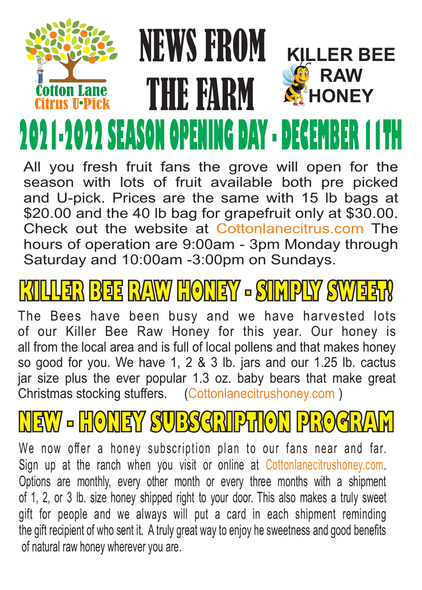#### NEWS FROM **KILLER BEE RAW** THE FARM ion Lane **HONEY** 2021-2022 SEASON OPENING DAY - DECEI

All you fresh fruit fans the grove will open for the season with lots of fruit available both pre picked and U-pick. Prices are the same with 15 lb bags at \$20.00 and the 40 lb bag for grapefruit only at \$30.00. Check out the website at Cottonlanecitrus.com The hours of operation are 9:00am - 3pm Monday through Saturday and 10:00am -3:00pm on Sundays.

# ER BEE RYAWY HONEY - SIMPLY S

The Bees have been busy and we have harvested lots of our Killer Bee Raw Honey for this year. Our honey is all from the local area and is full of local pollens and that makes honey so good for you. We have 1, 2 & 3 lb. jars and our 1.25 lb. cactus jar size plus the ever popular 1.3 oz. baby bears that make great Christmas stocking stuffers. (Cottonlanecitrushoney.com )

# **NEW - HONEY SUBSCRIPTION PROGRAM**

We now offer a honey subscription plan to our fans near and far. Sign up at the ranch when you visit or online at Cottonlanecitrushoney.com. Options are monthly, every other month or every three months with a shipment of 1, 2, or 3 lb. size honey shipped right to your door. This also makes a truly sweet gift for people and we always will put a card in each shipment reminding the gift recipient of who sent it. A truly great way to enjoy he sweetness and good benefits of natural raw honey wherever you are.